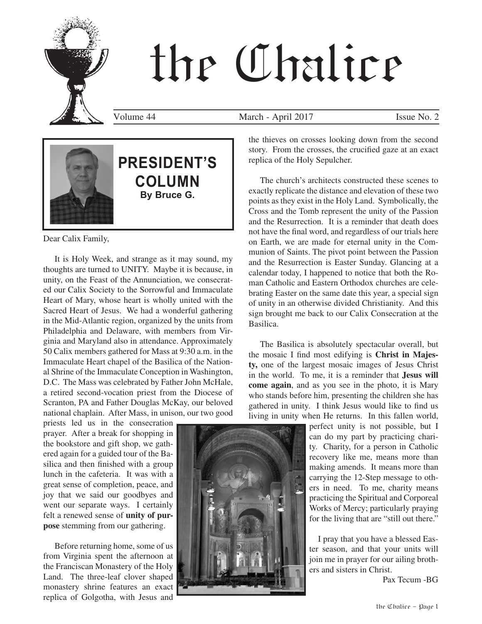# the Chalice

Volume 44 March - April 2017 Issue No. 2



### **PRESIDENT'S COLUMN By Bruce G.**

Dear Calix Family,

It is Holy Week, and strange as it may sound, my thoughts are turned to UNITY. Maybe it is because, in unity, on the Feast of the Annunciation, we consecrated our Calix Society to the Sorrowful and Immaculate Heart of Mary, whose heart is wholly united with the Sacred Heart of Jesus. We had a wonderful gathering in the Mid-Atlantic region, organized by the units from Philadelphia and Delaware, with members from Virginia and Maryland also in attendance. Approximately 50 Calix members gathered for Mass at 9:30 a.m. in the Immaculate Heart chapel of the Basilica of the National Shrine of the Immaculate Conception in Washington, D.C. The Mass was celebrated by Father John McHale, a retired second-vocation priest from the Diocese of Scranton, PA and Father Douglas McKay, our beloved national chaplain. After Mass, in unison, our two good

priests led us in the consecration prayer. After a break for shopping in the bookstore and gift shop, we gathered again for a guided tour of the Basilica and then finished with a group lunch in the cafeteria. It was with a great sense of completion, peace, and joy that we said our goodbyes and went our separate ways. I certainly felt a renewed sense of **unity of purpose** stemming from our gathering.

Before returning home, some of us from Virginia spent the afternoon at the Franciscan Monastery of the Holy Land. The three-leaf clover shaped monastery shrine features an exact replica of Golgotha, with Jesus and

the thieves on crosses looking down from the second story. From the crosses, the crucified gaze at an exact replica of the Holy Sepulcher.

The church's architects constructed these scenes to exactly replicate the distance and elevation of these two points as they exist in the Holy Land. Symbolically, the Cross and the Tomb represent the unity of the Passion and the Resurrection. It is a reminder that death does not have the final word, and regardless of our trials here on Earth, we are made for eternal unity in the Communion of Saints. The pivot point between the Passion and the Resurrection is Easter Sunday. Glancing at a calendar today, I happened to notice that both the Roman Catholic and Eastern Orthodox churches are celebrating Easter on the same date this year, a special sign of unity in an otherwise divided Christianity. And this sign brought me back to our Calix Consecration at the Basilica.

The Basilica is absolutely spectacular overall, but the mosaic I find most edifying is **Christ in Majesty,** one of the largest mosaic images of Jesus Christ in the world. To me, it is a reminder that **Jesus will come again**, and as you see in the photo, it is Mary who stands before him, presenting the children she has gathered in unity. I think Jesus would like to find us living in unity when He returns. In this fallen world,

> perfect unity is not possible, but I can do my part by practicing charity. Charity, for a person in Catholic recovery like me, means more than making amends. It means more than carrying the 12-Step message to others in need. To me, charity means practicing the Spiritual and Corporeal Works of Mercy; particularly praying for the living that are "still out there."

> I pray that you have a blessed Easter season, and that your units will join me in prayer for our ailing brothers and sisters in Christ.

> > Pax Tecum -BG

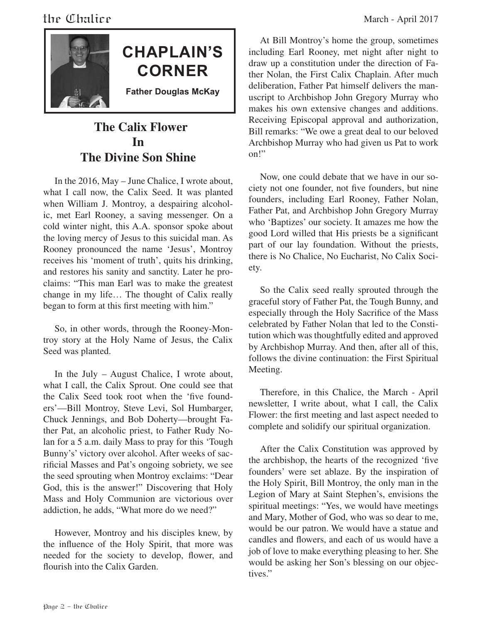



**CHAPLAIN'S CORNER**

**Father Douglas McKay**

#### **The Calix Flower In The Divine Son Shine**

In the 2016, May – June Chalice, I wrote about, what I call now, the Calix Seed. It was planted when William J. Montroy, a despairing alcoholic, met Earl Rooney, a saving messenger. On a cold winter night, this A.A. sponsor spoke about the loving mercy of Jesus to this suicidal man. As Rooney pronounced the name 'Jesus', Montroy receives his 'moment of truth', quits his drinking, and restores his sanity and sanctity. Later he proclaims: "This man Earl was to make the greatest change in my life… The thought of Calix really began to form at this first meeting with him."

So, in other words, through the Rooney-Montroy story at the Holy Name of Jesus, the Calix Seed was planted.

In the July – August Chalice, I wrote about, what I call, the Calix Sprout. One could see that the Calix Seed took root when the 'five founders'—Bill Montroy, Steve Levi, Sol Humbarger, Chuck Jennings, and Bob Doherty—brought Father Pat, an alcoholic priest, to Father Rudy Nolan for a 5 a.m. daily Mass to pray for this 'Tough Bunny's' victory over alcohol. After weeks of sacrificial Masses and Pat's ongoing sobriety, we see the seed sprouting when Montroy exclaims: "Dear God, this is the answer!" Discovering that Holy Mass and Holy Communion are victorious over addiction, he adds, "What more do we need?"

However, Montroy and his disciples knew, by the influence of the Holy Spirit, that more was needed for the society to develop, flower, and flourish into the Calix Garden.

At Bill Montroy's home the group, sometimes including Earl Rooney, met night after night to draw up a constitution under the direction of Father Nolan, the First Calix Chaplain. After much deliberation, Father Pat himself delivers the manuscript to Archbishop John Gregory Murray who makes his own extensive changes and additions. Receiving Episcopal approval and authorization, Bill remarks: "We owe a great deal to our beloved Archbishop Murray who had given us Pat to work on!"

Now, one could debate that we have in our society not one founder, not five founders, but nine founders, including Earl Rooney, Father Nolan, Father Pat, and Archbishop John Gregory Murray who 'Baptizes' our society. It amazes me how the good Lord willed that His priests be a significant part of our lay foundation. Without the priests, there is No Chalice, No Eucharist, No Calix Society.

So the Calix seed really sprouted through the graceful story of Father Pat, the Tough Bunny, and especially through the Holy Sacrifice of the Mass celebrated by Father Nolan that led to the Constitution which was thoughtfully edited and approved by Archbishop Murray. And then, after all of this, follows the divine continuation: the First Spiritual Meeting.

Therefore, in this Chalice, the March - April newsletter, I write about, what I call, the Calix Flower: the first meeting and last aspect needed to complete and solidify our spiritual organization.

After the Calix Constitution was approved by the archbishop, the hearts of the recognized 'five founders' were set ablaze. By the inspiration of the Holy Spirit, Bill Montroy, the only man in the Legion of Mary at Saint Stephen's, envisions the spiritual meetings: "Yes, we would have meetings and Mary, Mother of God, who was so dear to me, would be our patron. We would have a statue and candles and flowers, and each of us would have a job of love to make everything pleasing to her. She would be asking her Son's blessing on our objectives."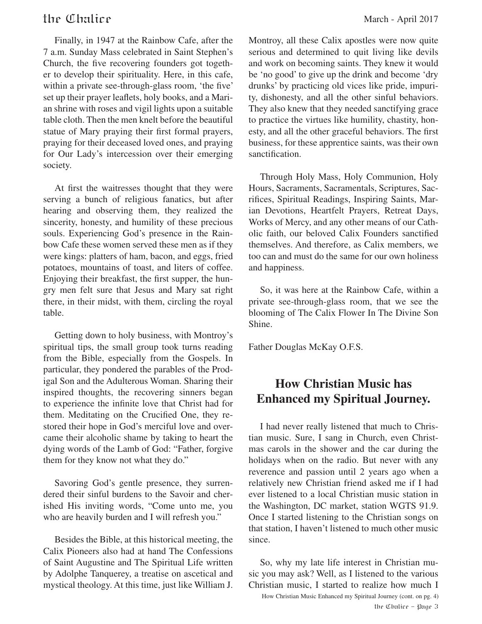Finally, in 1947 at the Rainbow Cafe, after the 7 a.m. Sunday Mass celebrated in Saint Stephen's Church, the five recovering founders got together to develop their spirituality. Here, in this cafe, within a private see-through-glass room, 'the five' set up their prayer leaflets, holy books, and a Marian shrine with roses and vigil lights upon a suitable table cloth. Then the men knelt before the beautiful statue of Mary praying their first formal prayers, praying for their deceased loved ones, and praying for Our Lady's intercession over their emerging society.

At first the waitresses thought that they were serving a bunch of religious fanatics, but after hearing and observing them, they realized the sincerity, honesty, and humility of these precious souls. Experiencing God's presence in the Rainbow Cafe these women served these men as if they were kings: platters of ham, bacon, and eggs, fried potatoes, mountains of toast, and liters of coffee. Enjoying their breakfast, the first supper, the hungry men felt sure that Jesus and Mary sat right there, in their midst, with them, circling the royal table.

Getting down to holy business, with Montroy's spiritual tips, the small group took turns reading from the Bible, especially from the Gospels. In particular, they pondered the parables of the Prodigal Son and the Adulterous Woman. Sharing their inspired thoughts, the recovering sinners began to experience the infinite love that Christ had for them. Meditating on the Crucified One, they restored their hope in God's merciful love and overcame their alcoholic shame by taking to heart the dying words of the Lamb of God: "Father, forgive them for they know not what they do."

Savoring God's gentle presence, they surrendered their sinful burdens to the Savoir and cherished His inviting words, "Come unto me, you who are heavily burden and I will refresh you."

Besides the Bible, at this historical meeting, the Calix Pioneers also had at hand The Confessions of Saint Augustine and The Spiritual Life written by Adolphe Tanquerey, a treatise on ascetical and mystical theology. At this time, just like William J.

Montroy, all these Calix apostles were now quite serious and determined to quit living like devils and work on becoming saints. They knew it would be 'no good' to give up the drink and become 'dry drunks' by practicing old vices like pride, impurity, dishonesty, and all the other sinful behaviors. They also knew that they needed sanctifying grace to practice the virtues like humility, chastity, honesty, and all the other graceful behaviors. The first business, for these apprentice saints, was their own sanctification.

Through Holy Mass, Holy Communion, Holy Hours, Sacraments, Sacramentals, Scriptures, Sacrifices, Spiritual Readings, Inspiring Saints, Marian Devotions, Heartfelt Prayers, Retreat Days, Works of Mercy, and any other means of our Catholic faith, our beloved Calix Founders sanctified themselves. And therefore, as Calix members, we too can and must do the same for our own holiness and happiness.

So, it was here at the Rainbow Cafe, within a private see-through-glass room, that we see the blooming of The Calix Flower In The Divine Son Shine.

Father Douglas McKay O.F.S.

#### **How Christian Music has Enhanced my Spiritual Journey.**

I had never really listened that much to Christian music. Sure, I sang in Church, even Christmas carols in the shower and the car during the holidays when on the radio. But never with any reverence and passion until 2 years ago when a relatively new Christian friend asked me if I had ever listened to a local Christian music station in the Washington, DC market, station WGTS 91.9. Once I started listening to the Christian songs on that station, I haven't listened to much other music since.

So, why my late life interest in Christian music you may ask? Well, as I listened to the various Christian music, I started to realize how much I

the Chalice - Page 3 How Christian Music Enhanced my Spiritual Journey (cont. on pg. 4)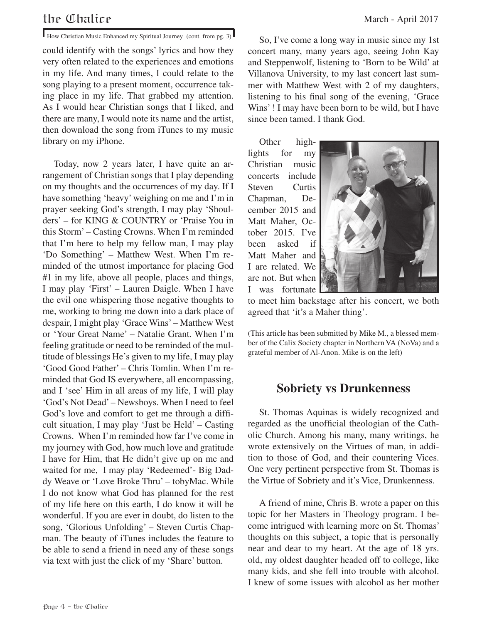#### the Chalice March - April 2017

How Christian Music Enhanced my Spiritual Journey (cont. from pg. 3)

could identify with the songs' lyrics and how they very often related to the experiences and emotions in my life. And many times, I could relate to the song playing to a present moment, occurrence taking place in my life. That grabbed my attention. As I would hear Christian songs that I liked, and there are many, I would note its name and the artist, then download the song from iTunes to my music library on my iPhone.

Today, now 2 years later, I have quite an arrangement of Christian songs that I play depending on my thoughts and the occurrences of my day. If I have something 'heavy' weighing on me and I'm in prayer seeking God's strength, I may play 'Shoulders' – for KING & COUNTRY or 'Praise You in this Storm' – Casting Crowns. When I'm reminded that I'm here to help my fellow man, I may play 'Do Something' – Matthew West. When I'm reminded of the utmost importance for placing God #1 in my life, above all people, places and things, I may play 'First' – Lauren Daigle. When I have the evil one whispering those negative thoughts to me, working to bring me down into a dark place of despair, I might play 'Grace Wins' – Matthew West or 'Your Great Name' – Natalie Grant. When I'm feeling gratitude or need to be reminded of the multitude of blessings He's given to my life, I may play 'Good Good Father' – Chris Tomlin. When I'm reminded that God IS everywhere, all encompassing, and I 'see' Him in all areas of my life, I will play 'God's Not Dead' – Newsboys. When I need to feel God's love and comfort to get me through a difficult situation, I may play 'Just be Held' – Casting Crowns. When I'm reminded how far I've come in my journey with God, how much love and gratitude I have for Him, that He didn't give up on me and waited for me, I may play 'Redeemed'- Big Daddy Weave or 'Love Broke Thru' – tobyMac. While I do not know what God has planned for the rest of my life here on this earth, I do know it will be wonderful. If you are ever in doubt, do listen to the song, 'Glorious Unfolding' – Steven Curtis Chapman. The beauty of iTunes includes the feature to be able to send a friend in need any of these songs via text with just the click of my 'Share' button.

So, I've come a long way in music since my 1st concert many, many years ago, seeing John Kay and Steppenwolf, listening to 'Born to be Wild' at Villanova University, to my last concert last summer with Matthew West with 2 of my daughters, listening to his final song of the evening, 'Grace Wins' ! I may have been born to be wild, but I have since been tamed. I thank God.

Other highlights for my Christian music concerts include Steven Curtis Chapman, December 2015 and Matt Maher, October 2015. I've been asked if Matt Maher and I are related. We are not. But when I was fortunate



to meet him backstage after his concert, we both agreed that 'it's a Maher thing'.

(This article has been submitted by Mike M., a blessed member of the Calix Society chapter in Northern VA (NoVa) and a grateful member of Al-Anon. Mike is on the left)

#### **Sobriety vs Drunkenness**

St. Thomas Aquinas is widely recognized and regarded as the unofficial theologian of the Catholic Church. Among his many, many writings, he wrote extensively on the Virtues of man, in addition to those of God, and their countering Vices. One very pertinent perspective from St. Thomas is the Virtue of Sobriety and it's Vice, Drunkenness.

A friend of mine, Chris B. wrote a paper on this topic for her Masters in Theology program. I become intrigued with learning more on St. Thomas' thoughts on this subject, a topic that is personally near and dear to my heart. At the age of 18 yrs. old, my oldest daughter headed off to college, like many kids, and she fell into trouble with alcohol. I knew of some issues with alcohol as her mother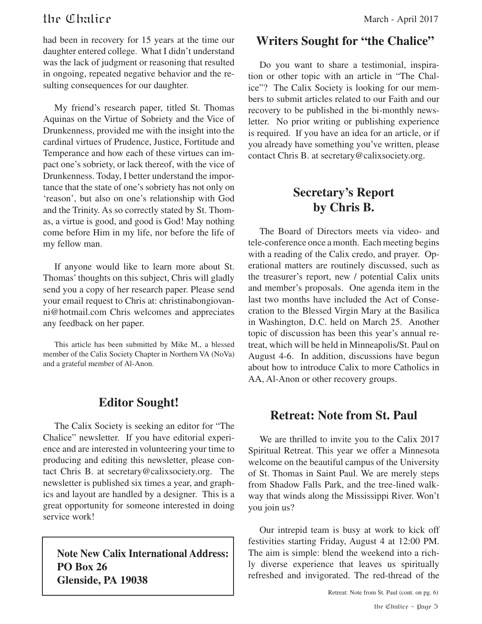#### the Chalice March - April 2017

had been in recovery for 15 years at the time our daughter entered college. What I didn't understand was the lack of judgment or reasoning that resulted in ongoing, repeated negative behavior and the resulting consequences for our daughter.

My friend's research paper, titled St. Thomas Aquinas on the Virtue of Sobriety and the Vice of Drunkenness, provided me with the insight into the cardinal virtues of Prudence, Justice, Fortitude and Temperance and how each of these virtues can impact one's sobriety, or lack thereof, with the vice of Drunkenness. Today, I better understand the importance that the state of one's sobriety has not only on 'reason', but also on one's relationship with God and the Trinity. As so correctly stated by St. Thomas, a virtue is good, and good is God! May nothing come before Him in my life, nor before the life of my fellow man.

If anyone would like to learn more about St. Thomas' thoughts on this subject, Chris will gladly send you a copy of her research paper. Please send your email request to Chris at: christinabongiovanni@hotmail.com Chris welcomes and appreciates any feedback on her paper.

This article has been submitted by Mike M., a blessed member of the Calix Society Chapter in Northern VA (NoVa) and a grateful member of Al-Anon.

#### **Editor Sought!**

The Calix Society is seeking an editor for "The Chalice" newsletter. If you have editorial experience and are interested in volunteering your time to producing and editing this newsletter, please contact Chris B. at secretary@calixsociety.org. The newsletter is published six times a year, and graphics and layout are handled by a designer. This is a great opportunity for someone interested in doing service work!

**Note New Calix International Address: PO Box 26 Glenside, PA 19038**

#### **Writers Sought for "the Chalice"**

Do you want to share a testimonial, inspiration or other topic with an article in "The Chalice"? The Calix Society is looking for our members to submit articles related to our Faith and our recovery to be published in the bi-monthly newsletter. No prior writing or publishing experience is required. If you have an idea for an article, or if you already have something you've written, please contact Chris B. at secretary@calixsociety.org.

#### **Secretary's Report by Chris B.**

The Board of Directors meets via video- and tele-conference once a month. Each meeting begins with a reading of the Calix credo, and prayer. Operational matters are routinely discussed, such as the treasurer's report, new / potential Calix units and member's proposals. One agenda item in the last two months have included the Act of Consecration to the Blessed Virgin Mary at the Basilica in Washington, D.C. held on March 25. Another topic of discussion has been this year's annual retreat, which will be held in Minneapolis/St. Paul on August 4-6. In addition, discussions have begun about how to introduce Calix to more Catholics in AA, Al-Anon or other recovery groups.

#### **Retreat: Note from St. Paul**

We are thrilled to invite you to the Calix 2017 Spiritual Retreat. This year we offer a Minnesota welcome on the beautiful campus of the University of St. Thomas in Saint Paul. We are merely steps from Shadow Falls Park, and the tree-lined walkway that winds along the Mississippi River. Won't you join us?

Our intrepid team is busy at work to kick off festivities starting Friday, August 4 at 12:00 PM. The aim is simple: blend the weekend into a richly diverse experience that leaves us spiritually refreshed and invigorated. The red-thread of the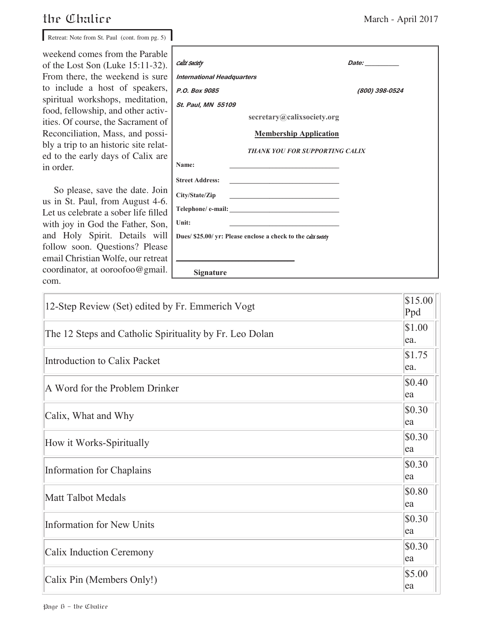#### the Chalice

So please, save the date. Join us in St. Paul, from August 4-6. Let us celebrate a sober life filled with joy in God the Father, Son, and Holy Spirit. Details will follow soon. Questions? Please email Christian Wolfe, our retreat com.

| Retreat: Note from St. Paul (cont. from pg. 5)                             |                                   |                                                                            |                                                                                                                                                                                                                                     |
|----------------------------------------------------------------------------|-----------------------------------|----------------------------------------------------------------------------|-------------------------------------------------------------------------------------------------------------------------------------------------------------------------------------------------------------------------------------|
| weekend comes from the Parable<br>of the Lost Son (Luke $15:11-32$ ).      | Caltx Society                     |                                                                            | <i>Date:</i> the contract of the contract of the contract of the contract of the contract of the contract of the contract of the contract of the contract of the contract of the contract of the contract of the contract of the co |
| From there, the weekend is sure.                                           | <b>International Headquarters</b> |                                                                            |                                                                                                                                                                                                                                     |
| to include a host of speakers,                                             | P.O. Box 9085                     |                                                                            | (800) 398-0524                                                                                                                                                                                                                      |
| spiritual workshops, meditation,                                           | St. Paul, MN 55109                |                                                                            |                                                                                                                                                                                                                                     |
| food, fellowship, and other activ-<br>ities. Of course, the Sacrament of   |                                   | secretary@calixsociety.org                                                 |                                                                                                                                                                                                                                     |
| Reconciliation, Mass, and possi-                                           |                                   | <b>Membership Application</b>                                              |                                                                                                                                                                                                                                     |
| bly a trip to an historic site relat-<br>ed to the early days of Calix are |                                   | <b>THANK YOU FOR SUPPORTING CALIX</b>                                      |                                                                                                                                                                                                                                     |
| in order.                                                                  | Name:                             |                                                                            |                                                                                                                                                                                                                                     |
|                                                                            | <b>Street Address:</b>            |                                                                            |                                                                                                                                                                                                                                     |
| So please, save the date. Join                                             | City/State/Zip                    | the control of the control of the control of the control of the control of |                                                                                                                                                                                                                                     |
| us in St. Paul, from August 4-6.<br>Let us celebrate a sober life filled   |                                   |                                                                            |                                                                                                                                                                                                                                     |
| with joy in God the Father, Son,                                           | Unit:                             |                                                                            |                                                                                                                                                                                                                                     |
| and Holy Spirit. Details will                                              |                                   | Dues/ \$25.00/ yr: Please enclose a check to the calix society             |                                                                                                                                                                                                                                     |
| follow soon. Questions? Please                                             |                                   |                                                                            |                                                                                                                                                                                                                                     |
| email Christian Wolfe, our retreat                                         |                                   |                                                                            |                                                                                                                                                                                                                                     |
| coordinator, at ooroofoo@gmail.                                            | <b>Signature</b>                  |                                                                            |                                                                                                                                                                                                                                     |

| 12-Step Review (Set) edited by Fr. Emmerich Vogt        | \$15.00<br>Ppd |
|---------------------------------------------------------|----------------|
| The 12 Steps and Catholic Spirituality by Fr. Leo Dolan | \$1.00<br>ea.  |
| Introduction to Calix Packet                            | \$1.75<br>ea.  |
| A Word for the Problem Drinker                          | \$0.40<br>ea   |
| Calix, What and Why                                     | \$0.30<br>ea   |
| How it Works-Spiritually                                | \$0.30<br>ea   |
| Information for Chaplains                               | \$0.30<br>ea   |
| <b>Matt Talbot Medals</b>                               | \$0.80<br>ea   |
| Information for New Units                               | \$0.30<br>ea   |
| Calix Induction Ceremony                                | \$0.30<br>ea   |
| Calix Pin (Members Only!)                               | \$5.00<br>ea   |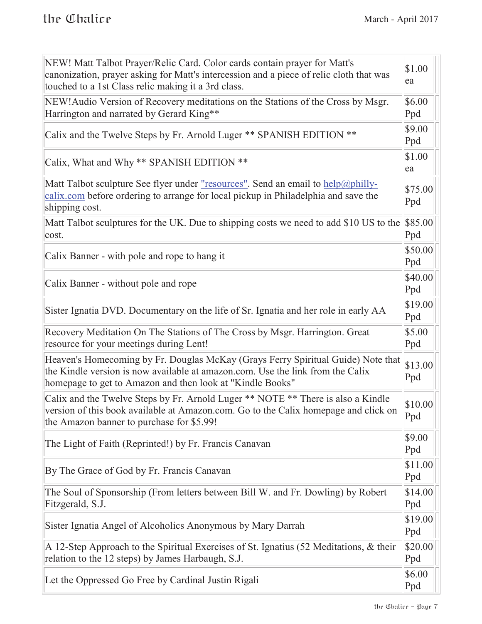$\rightarrow$ 

| NEW! Matt Talbot Prayer/Relic Card. Color cards contain prayer for Matt's<br>canonization, prayer asking for Matt's intercession and a piece of relic cloth that was<br>touched to a 1st Class relic making it a 3rd class.     | \$1.00<br>ea   |
|---------------------------------------------------------------------------------------------------------------------------------------------------------------------------------------------------------------------------------|----------------|
| NEW! Audio Version of Recovery meditations on the Stations of the Cross by Msgr.<br>Harrington and narrated by Gerard King**                                                                                                    | \$6.00<br>Ppd  |
| Calix and the Twelve Steps by Fr. Arnold Luger ** SPANISH EDITION **                                                                                                                                                            | \$9.00<br>Ppd  |
| Calix, What and Why ** SPANISH EDITION **                                                                                                                                                                                       | \$1.00<br>ea   |
| Matt Talbot sculpture See flyer under <u>"resources"</u> . Send an email to help@philly-<br>calix.com before ordering to arrange for local pickup in Philadelphia and save the<br>shipping cost.                                | \$75.00<br>Ppd |
| Matt Talbot sculptures for the UK. Due to shipping costs we need to add \$10 US to the<br>cost.                                                                                                                                 | \$85.00<br>Ppd |
| Calix Banner - with pole and rope to hang it                                                                                                                                                                                    | \$50.00<br>Ppd |
| Calix Banner - without pole and rope                                                                                                                                                                                            | \$40.00<br>Ppd |
| Sister Ignatia DVD. Documentary on the life of Sr. Ignatia and her role in early AA                                                                                                                                             | \$19.00<br>Ppd |
| Recovery Meditation On The Stations of The Cross by Msgr. Harrington. Great<br>resource for your meetings during Lent!                                                                                                          | \$5.00<br>Ppd  |
| Heaven's Homecoming by Fr. Douglas McKay (Grays Ferry Spiritual Guide) Note that<br>the Kindle version is now available at amazon.com. Use the link from the Calix<br>homepage to get to Amazon and then look at "Kindle Books" | \$13.00<br>Ppd |
| Calix and the Twelve Steps by Fr. Arnold Luger ** NOTE ** There is also a Kindle<br>version of this book available at Amazon.com. Go to the Calix homepage and click on<br>the Amazon banner to purchase for \$5.99!            | \$10.00<br>Ppd |
| The Light of Faith (Reprinted!) by Fr. Francis Canavan                                                                                                                                                                          | \$9.00<br>Ppd  |
| By The Grace of God by Fr. Francis Canavan                                                                                                                                                                                      | \$11.00<br>Ppd |
| The Soul of Sponsorship (From letters between Bill W. and Fr. Dowling) by Robert<br>Fitzgerald, S.J.                                                                                                                            | \$14.00<br>Ppd |
| Sister Ignatia Angel of Alcoholics Anonymous by Mary Darrah                                                                                                                                                                     | \$19.00<br>Ppd |
| A 12-Step Approach to the Spiritual Exercises of St. Ignatius (52 Meditations, & their<br>relation to the 12 steps) by James Harbaugh, S.J.                                                                                     | \$20.00<br>Ppd |
| Let the Oppressed Go Free by Cardinal Justin Rigali                                                                                                                                                                             | \$6.00<br>Ppd  |